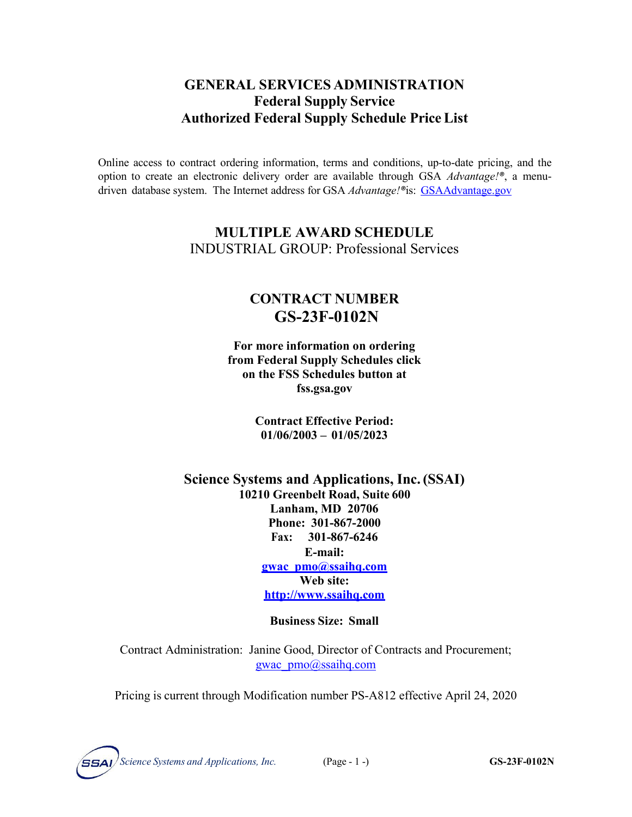### **GENERAL SERVICES ADMINISTRATION Federal Supply Service Authorized Federal Supply Schedule Price List**

Online access to contract ordering information, terms and conditions, up-to-date pricing, and the option to create an electronic delivery order are available through GSA *Advantage!®*, a menudriven database system. The Internet address for GSA *Advantage!®*is: GSAAdvantage.gov

### **MULTIPLE AWARD SCHEDULE** INDUSTRIAL GROUP: Professional Services

## **CONTRACT NUMBER GS-23F-0102N**

**For more information on ordering from Federal Supply Schedules click on the FSS Schedules button at fss.gsa.gov**

> **Contract Effective Period: 01/06/2003 – 01/05/2023**

**Science Systems and Applications, Inc.(SSAI) 10210 Greenbelt Road, Suite 600 Lanham, MD 20706 Phone: 301-867-2000 Fax: 301-867-6246 E-mail: [gwac\\_pmo@ssaihq.com](mailto:gwac_pmo@ssaihq.com) Web site: [http://www.ssaihq.com](http://www.ssaihq.com/)**

#### **Business Size: Small**

Contract Administration: Janine Good, Director of Contracts and Procurement; [gwac\\_pmo@ssaihq.com](mailto:gwac_pmo@ssaihq.com)

Pricing is current through Modification number PS-A812 effective April 24, 2020

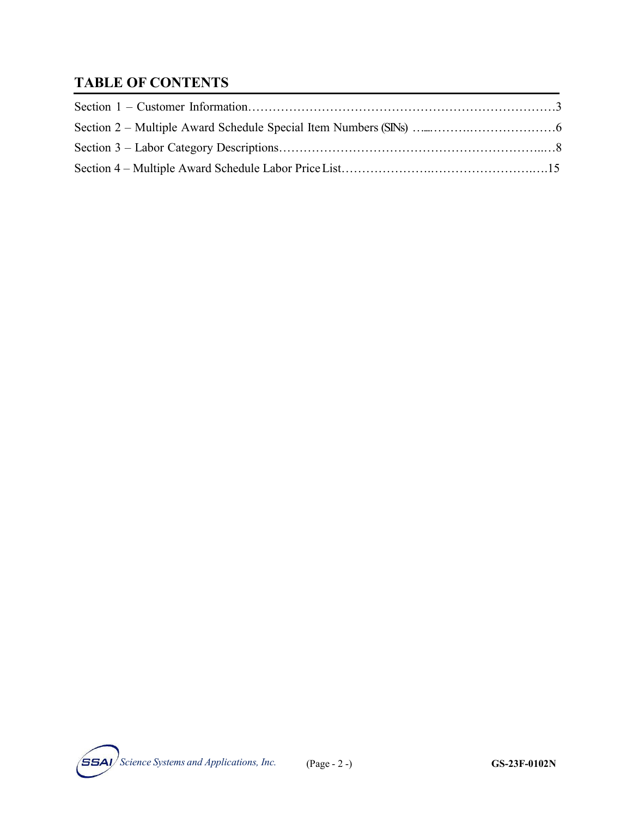# **TABLE OF CONTENTS**

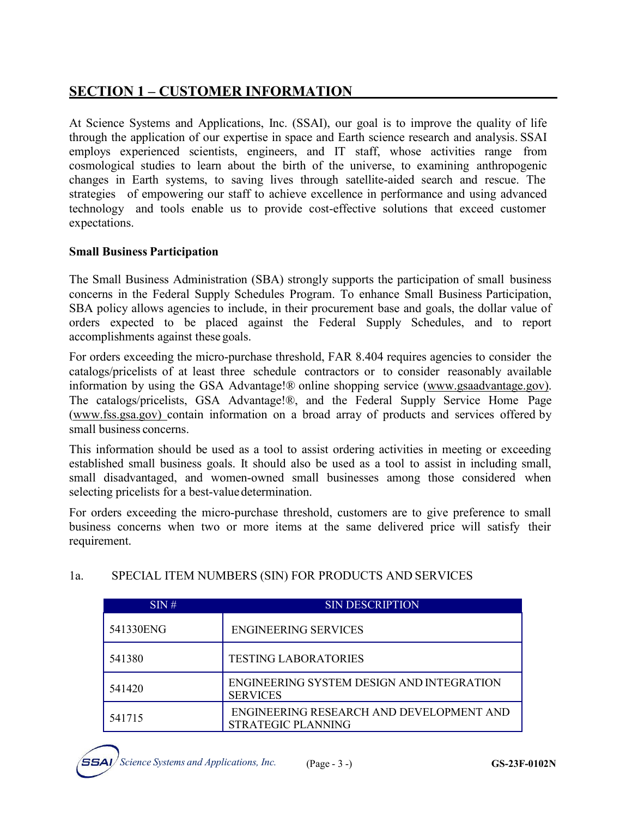### **SECTION 1 – CUSTOMER INFORMATION**

At Science Systems and Applications, Inc. (SSAI), our goal is to improve the quality of life through the application of our expertise in space and Earth science research and analysis. SSAI employs experienced scientists, engineers, and IT staff, whose activities range from cosmological studies to learn about the birth of the universe, to examining anthropogenic changes in Earth systems, to saving lives through satellite-aided search and rescue. The strategies of empowering our staff to achieve excellence in performance and using advanced technology and tools enable us to provide cost-effective solutions that exceed customer expectations.

#### **Small Business Participation**

The Small Business Administration (SBA) strongly supports the participation of small business concerns in the Federal Supply Schedules Program. To enhance Small Business Participation, SBA policy allows agencies to include, in their procurement base and goals, the dollar value of orders expected to be placed against the Federal Supply Schedules, and to report accomplishments against these goals.

For orders exceeding the micro-purchase threshold, FAR 8.404 requires agencies to consider the catalogs/pricelists of at least three schedule contractors or to consider reasonably available information by using the GSA Advantage!® online shopping service (www.gsaadvantage.gov). The catalogs/pricelists, GSA Advantage!®, and the Federal Supply Service Home Page (www.fss.gsa.gov) contain information on a broad array of products and services offered by small business concerns.

This information should be used as a tool to assist ordering activities in meeting or exceeding established small business goals. It should also be used as a tool to assist in including small, small disadvantaged, and women-owned small businesses among those considered when selecting pricelists for a best-value determination.

For orders exceeding the micro-purchase threshold, customers are to give preference to small business concerns when two or more items at the same delivered price will satisfy their requirement.

| SIN#      | <b>SIN DESCRIPTION</b>                                         |
|-----------|----------------------------------------------------------------|
| 541330ENG | <b>ENGINEERING SERVICES</b>                                    |
| 541380    | <b>TESTING LABORATORIES</b>                                    |
| 541420    | ENGINEERING SYSTEM DESIGN AND INTEGRATION<br><b>SERVICES</b>   |
| 541715    | ENGINEERING RESEARCH AND DEVELOPMENT AND<br>STRATEGIC PLANNING |

#### 1a. SPECIAL ITEM NUMBERS (SIN) FOR PRODUCTS AND SERVICES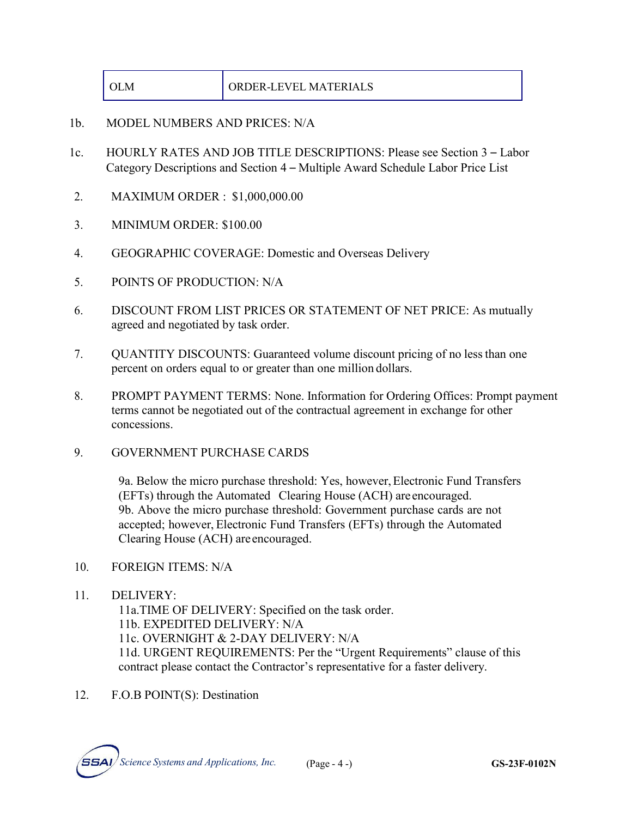| $\Omega$<br>M | ORDER-LEVEL MATERIALS |
|---------------|-----------------------|
|---------------|-----------------------|

- 1b. MODEL NUMBERS AND PRICES: N/A
- 1c. HOURLY RATES AND JOB TITLE DESCRIPTIONS: Please see Section 3 Labor Category Descriptions and Section 4 – Multiple Award Schedule Labor Price List
- 2. MAXIMUM ORDER : \$1,000,000.00
- 3. MINIMUM ORDER: \$100.00
- 4. GEOGRAPHIC COVERAGE: Domestic and Overseas Delivery
- 5. POINTS OF PRODUCTION: N/A
- 6. DISCOUNT FROM LIST PRICES OR STATEMENT OF NET PRICE: As mutually agreed and negotiated by task order.
- 7. QUANTITY DISCOUNTS: Guaranteed volume discount pricing of no lessthan one percent on orders equal to or greater than one million dollars.
- 8. PROMPT PAYMENT TERMS: None. Information for Ordering Offices: Prompt payment terms cannot be negotiated out of the contractual agreement in exchange for other concessions.
- 9. GOVERNMENT PURCHASE CARDS

9a. Below the micro purchase threshold: Yes, however,Electronic Fund Transfers (EFTs) through the Automated Clearing House (ACH) are encouraged. 9b. Above the micro purchase threshold: Government purchase cards are not accepted; however, Electronic Fund Transfers (EFTs) through the Automated Clearing House (ACH) are encouraged.

- 10. FOREIGN ITEMS: N/A
- 11. DELIVERY:

11a.TIME OF DELIVERY: Specified on the task order. 11b. EXPEDITED DELIVERY: N/A 11c. OVERNIGHT & 2-DAY DELIVERY: N/A 11d. URGENT REQUIREMENTS: Per the "Urgent Requirements" clause of this contract please contact the Contractor's representative for a faster delivery.

12. F.O.B POINT(S): Destination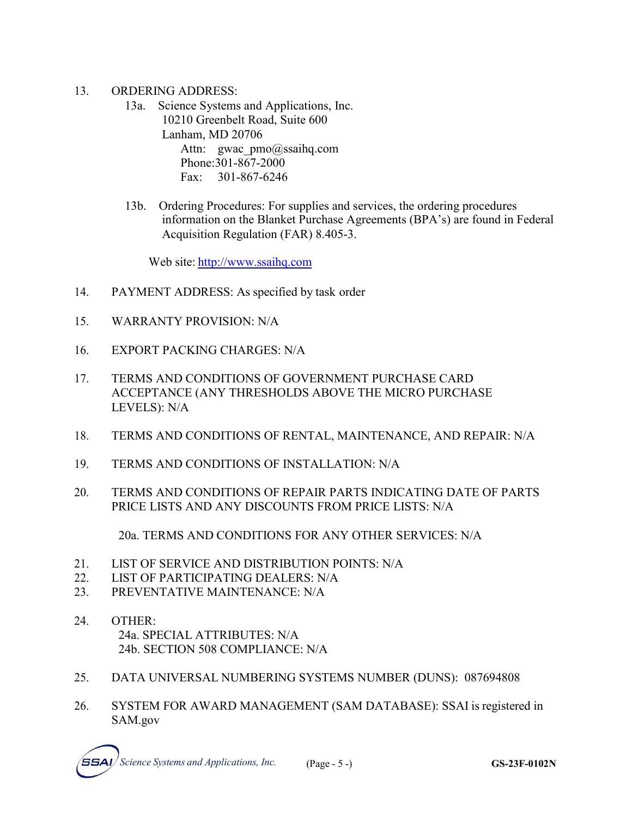- 13. ORDERING ADDRESS:
	- 13a. Science Systems and Applications, Inc. 10210 Greenbelt Road, Suite 600 Lanham, MD 20706 Attn: gwac pmo@ssaihq.com Phone:301-867-2000 Fax: 301-867-6246
	- 13b. Ordering Procedures: For supplies and services, the ordering procedures information on the Blanket Purchase Agreements (BPA's) are found in Federal Acquisition Regulation (FAR) 8.405-3.

Web site: [http://www.ssaihq.com](http://www.ssaihq.com/)

- 14. PAYMENT ADDRESS: As specified by task order
- 15. WARRANTY PROVISION: N/A
- 16. EXPORT PACKING CHARGES: N/A
- 17. TERMS AND CONDITIONS OF GOVERNMENT PURCHASE CARD ACCEPTANCE (ANY THRESHOLDS ABOVE THE MICRO PURCHASE LEVELS): N/A
- 18. TERMS AND CONDITIONS OF RENTAL, MAINTENANCE, AND REPAIR: N/A
- 19. TERMS AND CONDITIONS OF INSTALLATION: N/A
- 20. TERMS AND CONDITIONS OF REPAIR PARTS INDICATING DATE OF PARTS PRICE LISTS AND ANY DISCOUNTS FROM PRICE LISTS: N/A

20a. TERMS AND CONDITIONS FOR ANY OTHER SERVICES: N/A

- 21. LIST OF SERVICE AND DISTRIBUTION POINTS: N/A
- 22. LIST OF PARTICIPATING DEALERS: N/A
- 23. PREVENTATIVE MAINTENANCE: N/A
- 24. OTHER: 24a. SPECIAL ATTRIBUTES: N/A 24b. SECTION 508 COMPLIANCE: N/A
- 25. DATA UNIVERSAL NUMBERING SYSTEMS NUMBER (DUNS): 087694808
- 26. SYSTEM FOR AWARD MANAGEMENT (SAM DATABASE): SSAI is registered in SAM.gov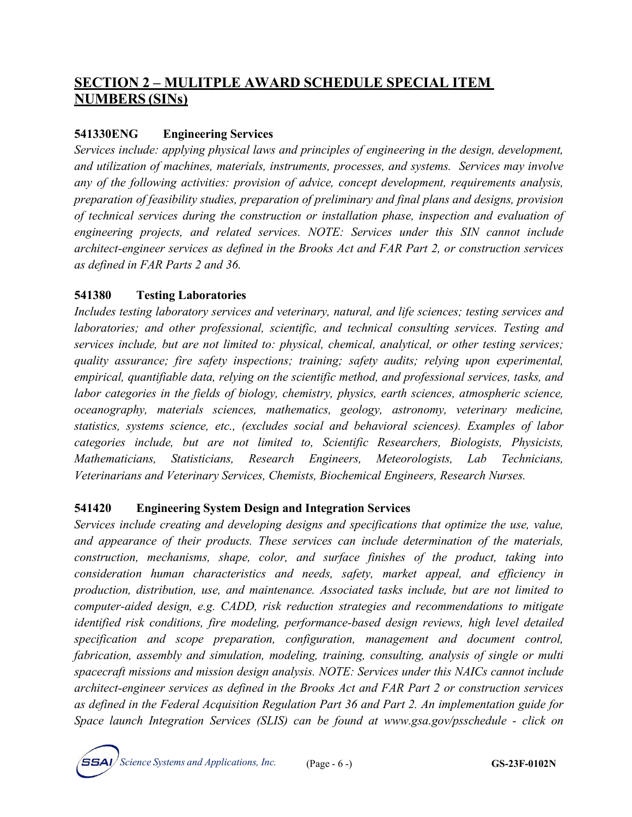## **SECTION 2 – MULITPLE AWARD SCHEDULE SPECIAL ITEM NUMBERS (SINs)**

#### **541330ENG Engineering Services**

*Services include: applying physical laws and principles of engineering in the design, development, and utilization of machines, materials, instruments, processes, and systems. Services may involve any of the following activities: provision of advice, concept development, requirements analysis, preparation of feasibility studies, preparation of preliminary and final plans and designs, provision of technical services during the construction or installation phase, inspection and evaluation of engineering projects, and related services. NOTE: Services under this SIN cannot include architect-engineer services as defined in the Brooks Act and FAR Part 2, or construction services as defined in FAR Parts 2 and 36.*

#### **541380 Testing Laboratories**

*Includes testing laboratory services and veterinary, natural, and life sciences; testing services and laboratories; and other professional, scientific, and technical consulting services. Testing and services include, but are not limited to: physical, chemical, analytical, or other testing services; quality assurance; fire safety inspections; training; safety audits; relying upon experimental, empirical, quantifiable data, relying on the scientific method, and professional services, tasks, and labor categories in the fields of biology, chemistry, physics, earth sciences, atmospheric science, oceanography, materials sciences, mathematics, geology, astronomy, veterinary medicine, statistics, systems science, etc., (excludes social and behavioral sciences). Examples of labor categories include, but are not limited to, Scientific Researchers, Biologists, Physicists, Mathematicians, Statisticians, Research Engineers, Meteorologists, Lab Technicians, Veterinarians and Veterinary Services, Chemists, Biochemical Engineers, Research Nurses.*

#### **541420 Engineering System Design and Integration Services**

*Services include creating and developing designs and specifications that optimize the use, value, and appearance of their products. These services can include determination of the materials, construction, mechanisms, shape, color, and surface finishes of the product, taking into consideration human characteristics and needs, safety, market appeal, and efficiency in production, distribution, use, and maintenance. Associated tasks include, but are not limited to computer-aided design, e.g. CADD, risk reduction strategies and recommendations to mitigate identified risk conditions, fire modeling, performance-based design reviews, high level detailed specification and scope preparation, configuration, management and document control, fabrication, assembly and simulation, modeling, training, consulting, analysis of single or multi spacecraft missions and mission design analysis. NOTE: Services under this NAICs cannot include architect-engineer services as defined in the Brooks Act and FAR Part 2 or construction services as defined in the Federal Acquisition Regulation Part 36 and Part 2. An implementation guide for Space launch Integration Services (SLIS) can be found at www.gsa.gov/psschedule - click on*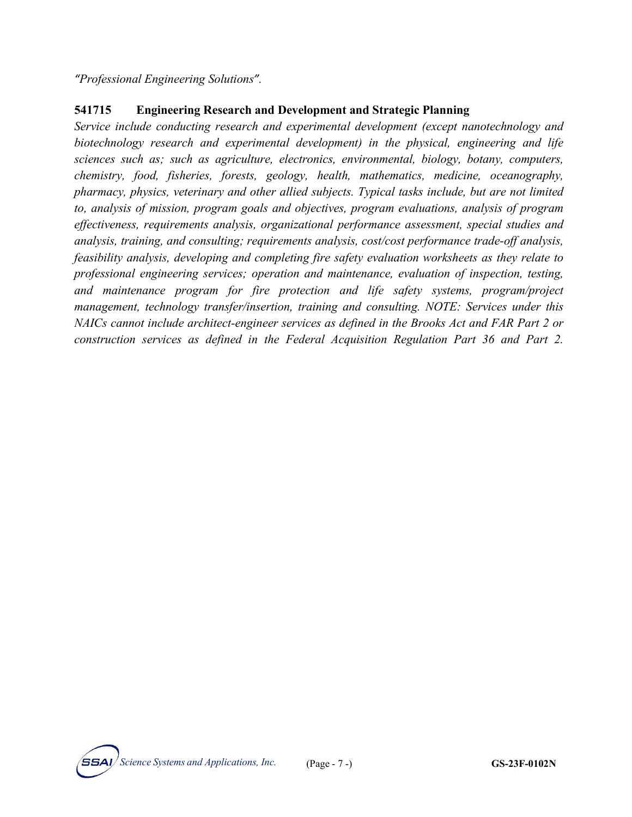*"Professional Engineering Solutions".*

#### **541715 Engineering Research and Development and Strategic Planning**

*Service include conducting research and experimental development (except nanotechnology and biotechnology research and experimental development) in the physical, engineering and life sciences such as; such as agriculture, electronics, environmental, biology, botany, computers, chemistry, food, fisheries, forests, geology, health, mathematics, medicine, oceanography, pharmacy, physics, veterinary and other allied subjects. Typical tasks include, but are not limited to, analysis of mission, program goals and objectives, program evaluations, analysis of program effectiveness, requirements analysis, organizational performance assessment, special studies and analysis, training, and consulting; requirements analysis, cost/cost performance trade-off analysis, feasibility analysis, developing and completing fire safety evaluation worksheets as they relate to professional engineering services; operation and maintenance, evaluation of inspection, testing, and maintenance program for fire protection and life safety systems, program/project management, technology transfer/insertion, training and consulting. NOTE: Services under this NAICs cannot include architect-engineer services as defined in the Brooks Act and FAR Part 2 or construction services as defined in the Federal Acquisition Regulation Part 36 and Part 2.*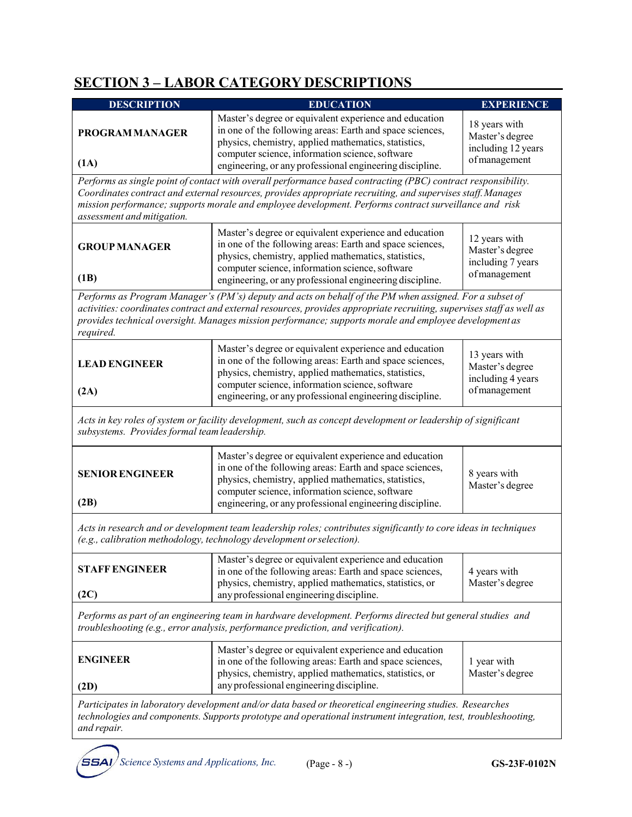## **SECTION 3 – LABOR CATEGORY DESCRIPTIONS**

| <b>DESCRIPTION</b>                                                                                                                                                                              | <b>EDUCATION</b>                                                                                                                                                                                                                                                                                                                           | <b>EXPERIENCE</b>                                                       |  |  |
|-------------------------------------------------------------------------------------------------------------------------------------------------------------------------------------------------|--------------------------------------------------------------------------------------------------------------------------------------------------------------------------------------------------------------------------------------------------------------------------------------------------------------------------------------------|-------------------------------------------------------------------------|--|--|
| <b>PROGRAM MANAGER</b>                                                                                                                                                                          | Master's degree or equivalent experience and education<br>in one of the following areas: Earth and space sciences,<br>physics, chemistry, applied mathematics, statistics,<br>computer science, information science, software                                                                                                              | 18 years with<br>Master's degree<br>including 12 years<br>of management |  |  |
| (1A)                                                                                                                                                                                            | engineering, or any professional engineering discipline.                                                                                                                                                                                                                                                                                   |                                                                         |  |  |
| assessment and mitigation.                                                                                                                                                                      | Performs as single point of contact with overall performance based contracting (PBC) contract responsibility.<br>Coordinates contract and external resources, provides appropriate recruiting, and supervises staff. Manages<br>mission performance; supports morale and employee development. Performs contract surveillance and risk     |                                                                         |  |  |
| <b>GROUP MANAGER</b>                                                                                                                                                                            | Master's degree or equivalent experience and education<br>in one of the following areas: Earth and space sciences,<br>physics, chemistry, applied mathematics, statistics,<br>computer science, information science, software                                                                                                              | 12 years with<br>Master's degree<br>including 7 years                   |  |  |
| (1B)                                                                                                                                                                                            | engineering, or any professional engineering discipline.                                                                                                                                                                                                                                                                                   | of management                                                           |  |  |
| required.                                                                                                                                                                                       | Performs as Program Manager's (PM's) deputy and acts on behalf of the PM when assigned. For a subset of<br>activities: coordinates contract and external resources, provides appropriate recruiting, supervises staff as well as<br>provides technical oversight. Manages mission performance; supports morale and employee development as |                                                                         |  |  |
| <b>LEAD ENGINEER</b><br>(2A)                                                                                                                                                                    | Master's degree or equivalent experience and education<br>in one of the following areas: Earth and space sciences,<br>physics, chemistry, applied mathematics, statistics,<br>computer science, information science, software                                                                                                              | 13 years with<br>Master's degree<br>including 4 years<br>of management  |  |  |
|                                                                                                                                                                                                 | engineering, or any professional engineering discipline.                                                                                                                                                                                                                                                                                   |                                                                         |  |  |
| subsystems. Provides formal team leadership.                                                                                                                                                    | Acts in key roles of system or facility development, such as concept development or leadership of significant                                                                                                                                                                                                                              |                                                                         |  |  |
| <b>SENIOR ENGINEER</b><br>(2B)                                                                                                                                                                  | Master's degree or equivalent experience and education<br>in one of the following areas: Earth and space sciences,<br>physics, chemistry, applied mathematics, statistics,<br>computer science, information science, software<br>engineering, or any professional engineering discipline.                                                  | 8 years with<br>Master's degree                                         |  |  |
|                                                                                                                                                                                                 |                                                                                                                                                                                                                                                                                                                                            |                                                                         |  |  |
|                                                                                                                                                                                                 | Acts in research and or development team leadership roles; contributes significantly to core ideas in techniques<br>(e.g., calibration methodology, technology development or selection).                                                                                                                                                  |                                                                         |  |  |
| <b>STAFF ENGINEER</b>                                                                                                                                                                           | Master's degree or equivalent experience and education<br>in one of the following areas: Earth and space sciences,<br>4 years with<br>physics, chemistry, applied mathematics, statistics, or                                                                                                                                              |                                                                         |  |  |
| (2C)                                                                                                                                                                                            | any professional engineering discipline.                                                                                                                                                                                                                                                                                                   | Master's degree                                                         |  |  |
| Performs as part of an engineering team in hardware development. Performs directed but general studies and<br>troubleshooting (e.g., error analysis, performance prediction, and verification). |                                                                                                                                                                                                                                                                                                                                            |                                                                         |  |  |
| <b>ENGINEER</b><br>(2D)                                                                                                                                                                         | Master's degree or equivalent experience and education<br>in one of the following areas: Earth and space sciences,<br>1 year with<br>physics, chemistry, applied mathematics, statistics, or<br>Master's degree<br>any professional engineering discipline.                                                                                |                                                                         |  |  |
| and repair.                                                                                                                                                                                     | Participates in laboratory development and/or data based or theoretical engineering studies. Researches<br>technologies and components. Supports prototype and operational instrument integration, test, troubleshooting,                                                                                                                  |                                                                         |  |  |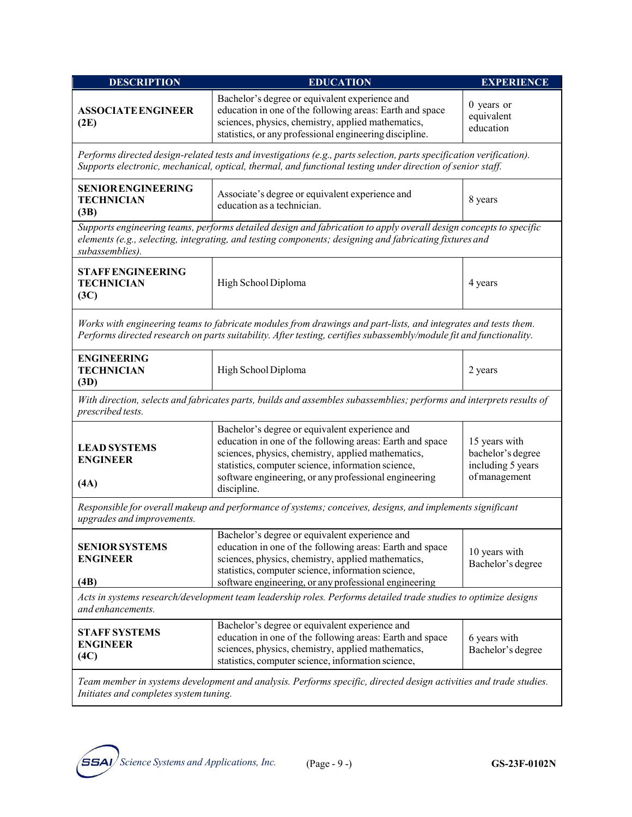| <b>DESCRIPTION</b>                                     | <b>EDUCATION</b>                                                                                                                                                                                                                                                                               | EXPERIENCE                                                               |  |  |
|--------------------------------------------------------|------------------------------------------------------------------------------------------------------------------------------------------------------------------------------------------------------------------------------------------------------------------------------------------------|--------------------------------------------------------------------------|--|--|
| <b>ASSOCIATE ENGINEER</b><br>(2E)                      | Bachelor's degree or equivalent experience and<br>education in one of the following areas: Earth and space<br>sciences, physics, chemistry, applied mathematics,<br>statistics, or any professional engineering discipline.                                                                    | $0$ years or<br>equivalent<br>education                                  |  |  |
|                                                        | Performs directed design-related tests and investigations (e.g., parts selection, parts specification verification).<br>Supports electronic, mechanical, optical, thermal, and functional testing under direction of senior staff.                                                             |                                                                          |  |  |
| <b>SENIOR ENGINEERING</b><br><b>TECHNICIAN</b><br>(3B) | Associate's degree or equivalent experience and<br>education as a technician.                                                                                                                                                                                                                  | 8 years                                                                  |  |  |
| subassemblies).                                        | Supports engineering teams, performs detailed design and fabrication to apply overall design concepts to specific<br>elements (e.g., selecting, integrating, and testing components; designing and fabricating fixtures and                                                                    |                                                                          |  |  |
| <b>STAFF ENGINEERING</b><br><b>TECHNICIAN</b><br>(3C)  | High School Diploma                                                                                                                                                                                                                                                                            | 4 years                                                                  |  |  |
|                                                        | Works with engineering teams to fabricate modules from drawings and part-lists, and integrates and tests them.<br>Performs directed research on parts suitability. After testing, certifies subassembly/module fit and functionality.                                                          |                                                                          |  |  |
| <b>ENGINEERING</b><br><b>TECHNICIAN</b><br>(3D)        | High School Diploma<br>2 years                                                                                                                                                                                                                                                                 |                                                                          |  |  |
| prescribed tests.                                      | With direction, selects and fabricates parts, builds and assembles subassemblies; performs and interprets results of                                                                                                                                                                           |                                                                          |  |  |
| <b>LEAD SYSTEMS</b><br><b>ENGINEER</b><br>(AA)         | Bachelor's degree or equivalent experience and<br>education in one of the following areas: Earth and space<br>sciences, physics, chemistry, applied mathematics,<br>statistics, computer science, information science,<br>software engineering, or any professional engineering<br>discipline. | 15 years with<br>bachelor's degree<br>including 5 years<br>of management |  |  |
| upgrades and improvements.                             | Responsible for overall makeup and performance of systems; conceives, designs, and implements significant                                                                                                                                                                                      |                                                                          |  |  |
| <b>SENIOR SYSTEMS</b><br><b>ENGINEER</b><br>(4B)       | Bachelor's degree or equivalent experience and<br>education in one of the following areas: Earth and space<br>sciences, physics, chemistry, applied mathematics,<br>statistics, computer science, information science,<br>software engineering, or any professional engineering                | 10 years with<br>Bachelor's degree                                       |  |  |
| and enhancements.                                      | Acts in systems research/development team leadership roles. Performs detailed trade studies to optimize designs                                                                                                                                                                                |                                                                          |  |  |
| <b>STAFF SYSTEMS</b><br><b>ENGINEER</b><br>(4C)        | Bachelor's degree or equivalent experience and<br>education in one of the following areas: Earth and space<br>sciences, physics, chemistry, applied mathematics,<br>statistics, computer science, information science,                                                                         | 6 years with<br>Bachelor's degree                                        |  |  |
| Initiates and completes system tuning.                 | Team member in systems development and analysis. Performs specific, directed design activities and trade studies.                                                                                                                                                                              |                                                                          |  |  |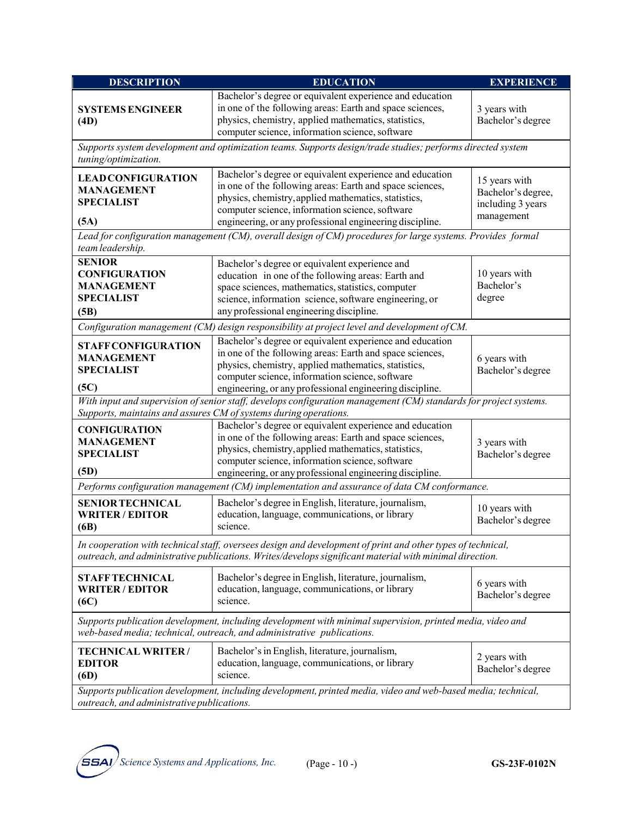| <b>DESCRIPTION</b>                                                                                                                                                                   | <b>EDUCATION</b><br><b>EXPERIENCE</b>                                                                                                                                                                                                                                                       |                                                                        |  |  |  |
|--------------------------------------------------------------------------------------------------------------------------------------------------------------------------------------|---------------------------------------------------------------------------------------------------------------------------------------------------------------------------------------------------------------------------------------------------------------------------------------------|------------------------------------------------------------------------|--|--|--|
| <b>SYSTEMS ENGINEER</b><br>(4D)                                                                                                                                                      | Bachelor's degree or equivalent experience and education<br>in one of the following areas: Earth and space sciences,<br>physics, chemistry, applied mathematics, statistics,<br>computer science, information science, software                                                             | 3 years with<br>Bachelor's degree                                      |  |  |  |
| Supports system development and optimization teams. Supports design/trade studies; performs directed system<br>tuning/optimization.                                                  |                                                                                                                                                                                                                                                                                             |                                                                        |  |  |  |
| <b>LEAD CONFIGURATION</b><br><b>MANAGEMENT</b><br><b>SPECIALIST</b><br>(5A)                                                                                                          | Bachelor's degree or equivalent experience and education<br>in one of the following areas: Earth and space sciences,<br>physics, chemistry, applied mathematics, statistics,<br>computer science, information science, software<br>engineering, or any professional engineering discipline. | 15 years with<br>Bachelor's degree,<br>including 3 years<br>management |  |  |  |
| team leadership.                                                                                                                                                                     | Lead for configuration management (CM), overall design of CM) procedures for large systems. Provides formal                                                                                                                                                                                 |                                                                        |  |  |  |
| <b>SENIOR</b><br><b>CONFIGURATION</b><br><b>MANAGEMENT</b><br><b>SPECIALIST</b><br>(5B)                                                                                              | Bachelor's degree or equivalent experience and<br>education in one of the following areas: Earth and<br>space sciences, mathematics, statistics, computer<br>science, information science, software engineering, or<br>any professional engineering discipline.                             | 10 years with<br>Bachelor's<br>degree                                  |  |  |  |
|                                                                                                                                                                                      | Configuration management (CM) design responsibility at project level and development of CM.                                                                                                                                                                                                 |                                                                        |  |  |  |
| <b>STAFFCONFIGURATION</b><br><b>MANAGEMENT</b><br><b>SPECIALIST</b><br>(5C)                                                                                                          | Bachelor's degree or equivalent experience and education<br>in one of the following areas: Earth and space sciences,<br>physics, chemistry, applied mathematics, statistics,<br>computer science, information science, software<br>engineering, or any professional engineering discipline. | 6 years with<br>Bachelor's degree                                      |  |  |  |
|                                                                                                                                                                                      | With input and supervision of senior staff, develops configuration management (CM) standards for project systems.<br>Supports, maintains and assures CM of systems during operations.                                                                                                       |                                                                        |  |  |  |
| <b>CONFIGURATION</b><br><b>MANAGEMENT</b><br><b>SPECIALIST</b><br>(5D)                                                                                                               | Bachelor's degree or equivalent experience and education<br>in one of the following areas: Earth and space sciences,<br>physics, chemistry, applied mathematics, statistics,<br>computer science, information science, software<br>engineering, or any professional engineering discipline. | 3 years with<br>Bachelor's degree                                      |  |  |  |
|                                                                                                                                                                                      | Performs configuration management (CM) implementation and assurance of data CM conformance.                                                                                                                                                                                                 |                                                                        |  |  |  |
| Bachelor's degree in English, literature, journalism,<br><b>SENIOR TECHNICAL</b><br>education, language, communications, or library<br><b>WRITER/EDITOR</b><br>science.<br>(6B)      |                                                                                                                                                                                                                                                                                             | 10 years with<br>Bachelor's degree                                     |  |  |  |
|                                                                                                                                                                                      | In cooperation with technical staff, oversees design and development of print and other types of technical,<br>outreach, and administrative publications. Writes/develops significant material with minimal direction.                                                                      |                                                                        |  |  |  |
| <b>STAFF TECHNICAL</b><br><b>WRITER/EDITOR</b><br>(6C)                                                                                                                               | Bachelor's degree in English, literature, journalism,<br>education, language, communications, or library<br>science.                                                                                                                                                                        |                                                                        |  |  |  |
| Supports publication development, including development with minimal supervision, printed media, video and<br>web-based media; technical, outreach, and administrative publications. |                                                                                                                                                                                                                                                                                             |                                                                        |  |  |  |
| <b>TECHNICAL WRITER/</b><br>Bachelor's in English, literature, journalism,<br>education, language, communications, or library<br><b>EDITOR</b><br>science.<br>(6D)                   |                                                                                                                                                                                                                                                                                             | 2 years with<br>Bachelor's degree                                      |  |  |  |
| Supports publication development, including development, printed media, video and web-based media; technical,<br>outreach, and administrative publications.                          |                                                                                                                                                                                                                                                                                             |                                                                        |  |  |  |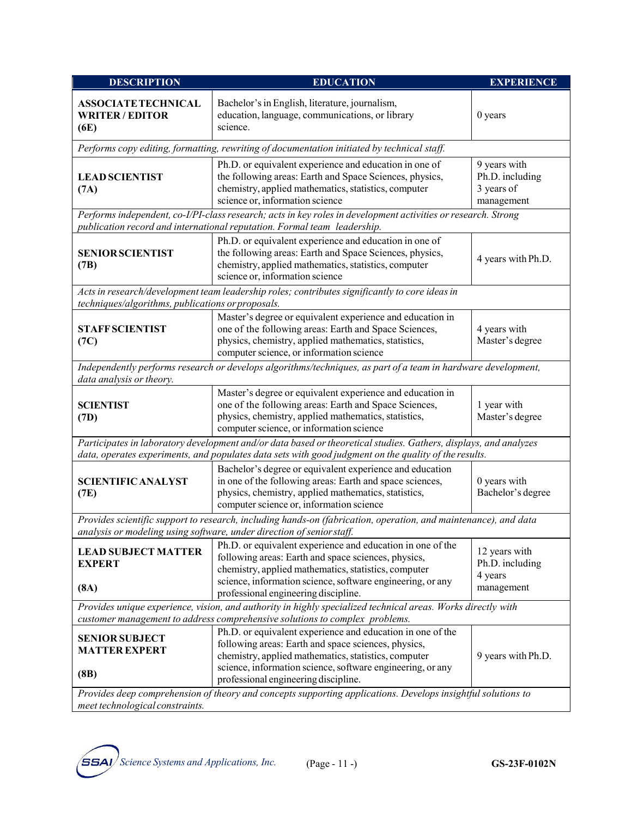| <b>DESCRIPTION</b>                                                                                                                                                                                                                                            | <b>EDUCATION</b>                                                                                                                                                                                                                                          | <b>EXPERIENCE</b>                                           |  |  |
|---------------------------------------------------------------------------------------------------------------------------------------------------------------------------------------------------------------------------------------------------------------|-----------------------------------------------------------------------------------------------------------------------------------------------------------------------------------------------------------------------------------------------------------|-------------------------------------------------------------|--|--|
| <b>ASSOCIATE TECHNICAL</b><br><b>WRITER/EDITOR</b><br>(6E)                                                                                                                                                                                                    | Bachelor's in English, literature, journalism,<br>education, language, communications, or library<br>science.                                                                                                                                             | 0 years                                                     |  |  |
|                                                                                                                                                                                                                                                               | Performs copy editing, formatting, rewriting of documentation initiated by technical staff.                                                                                                                                                               |                                                             |  |  |
| <b>LEAD SCIENTIST</b><br>(7A)                                                                                                                                                                                                                                 | Ph.D. or equivalent experience and education in one of<br>the following areas: Earth and Space Sciences, physics,<br>chemistry, applied mathematics, statistics, computer<br>science or, information science                                              | 9 years with<br>Ph.D. including<br>3 years of<br>management |  |  |
|                                                                                                                                                                                                                                                               | Performs independent, co-I/PI-class research; acts in key roles in development activities or research. Strong<br>publication record and international reputation. Formal team leadership.                                                                 |                                                             |  |  |
| <b>SENIOR SCIENTIST</b><br>(7B)                                                                                                                                                                                                                               | Ph.D. or equivalent experience and education in one of<br>the following areas: Earth and Space Sciences, physics,<br>chemistry, applied mathematics, statistics, computer<br>science or, information science                                              | 4 years with Ph.D.                                          |  |  |
| techniques/algorithms, publications or proposals.                                                                                                                                                                                                             | Acts in research/development team leadership roles; contributes significantly to core ideas in                                                                                                                                                            |                                                             |  |  |
| <b>STAFF SCIENTIST</b><br>(7C)                                                                                                                                                                                                                                | Master's degree or equivalent experience and education in<br>one of the following areas: Earth and Space Sciences,<br>4 years with<br>physics, chemistry, applied mathematics, statistics,<br>Master's degree<br>computer science, or information science |                                                             |  |  |
| data analysis or theory.                                                                                                                                                                                                                                      | Independently performs research or develops algorithms/techniques, as part of a team in hardware development,                                                                                                                                             |                                                             |  |  |
| <b>SCIENTIST</b><br>(7D)                                                                                                                                                                                                                                      | Master's degree or equivalent experience and education in<br>one of the following areas: Earth and Space Sciences,<br>physics, chemistry, applied mathematics, statistics,<br>Master's degree<br>computer science, or information science                 |                                                             |  |  |
|                                                                                                                                                                                                                                                               | Participates in laboratory development and/or data based or theoretical studies. Gathers, displays, and analyzes<br>data, operates experiments, and populates data sets with good judgment on the quality of the results.                                 |                                                             |  |  |
| Bachelor's degree or equivalent experience and education<br>in one of the following areas: Earth and space sciences,<br><b>SCIENTIFIC ANALYST</b><br>physics, chemistry, applied mathematics, statistics,<br>(7E)<br>computer science or, information science |                                                                                                                                                                                                                                                           | 0 years with<br>Bachelor's degree                           |  |  |
|                                                                                                                                                                                                                                                               | Provides scientific support to research, including hands-on (fabrication, operation, and maintenance), and data<br>analysis or modeling using software, under direction of senior staff.                                                                  |                                                             |  |  |
| <b>LEAD SUBJECT MATTER</b><br><b>EXPERT</b><br>(8A)                                                                                                                                                                                                           | Ph.D. or equivalent experience and education in one of the<br>following areas: Earth and space sciences, physics,<br>chemistry, applied mathematics, statistics, computer<br>science, information science, software engineering, or any                   |                                                             |  |  |
|                                                                                                                                                                                                                                                               | professional engineering discipline.<br>Provides unique experience, vision, and authority in highly specialized technical areas. Works directly with                                                                                                      | management                                                  |  |  |
| customer management to address comprehensive solutions to complex problems.                                                                                                                                                                                   |                                                                                                                                                                                                                                                           |                                                             |  |  |
| <b>SENIOR SUBJECT</b><br><b>MATTER EXPERT</b>                                                                                                                                                                                                                 | Ph.D. or equivalent experience and education in one of the<br>following areas: Earth and space sciences, physics,<br>chemistry, applied mathematics, statistics, computer                                                                                 | 9 years with Ph.D.                                          |  |  |
| (8B)                                                                                                                                                                                                                                                          | science, information science, software engineering, or any<br>professional engineering discipline.                                                                                                                                                        |                                                             |  |  |
| Provides deep comprehension of theory and concepts supporting applications. Develops insightful solutions to<br>meet technological constraints.                                                                                                               |                                                                                                                                                                                                                                                           |                                                             |  |  |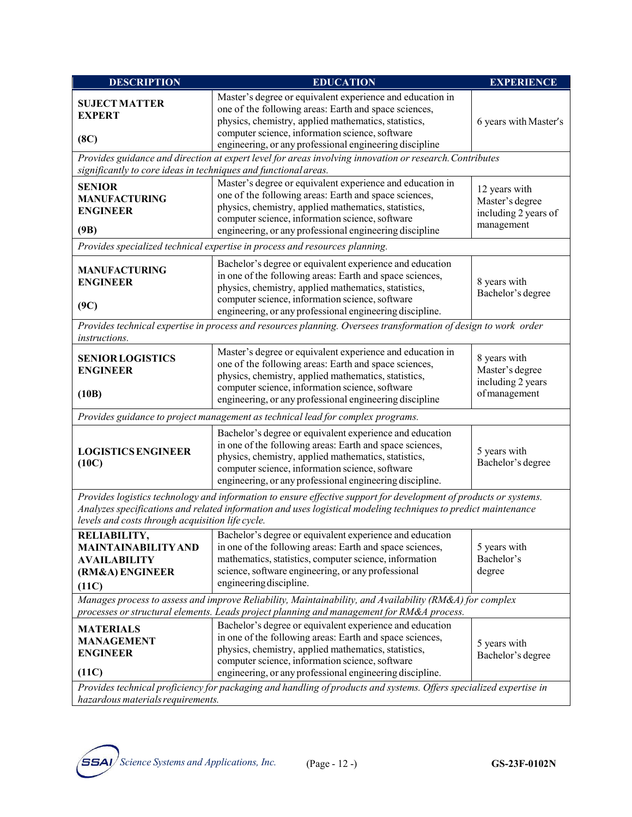| <b>DESCRIPTION</b>                                                                                                                                                                                                                                                                                                                | <b>EDUCATION</b><br><b>EXPERIENCE</b>                                                                                                                                                                                                                                                       |                                                                        |  |  |  |
|-----------------------------------------------------------------------------------------------------------------------------------------------------------------------------------------------------------------------------------------------------------------------------------------------------------------------------------|---------------------------------------------------------------------------------------------------------------------------------------------------------------------------------------------------------------------------------------------------------------------------------------------|------------------------------------------------------------------------|--|--|--|
| <b>SUJECT MATTER</b><br><b>EXPERT</b>                                                                                                                                                                                                                                                                                             | Master's degree or equivalent experience and education in<br>one of the following areas: Earth and space sciences,<br>physics, chemistry, applied mathematics, statistics,                                                                                                                  | 6 years with Master's                                                  |  |  |  |
| (8C)                                                                                                                                                                                                                                                                                                                              | computer science, information science, software<br>engineering, or any professional engineering discipline                                                                                                                                                                                  |                                                                        |  |  |  |
| significantly to core ideas in techniques and functional areas.                                                                                                                                                                                                                                                                   | Provides guidance and direction at expert level for areas involving innovation or research. Contributes                                                                                                                                                                                     |                                                                        |  |  |  |
|                                                                                                                                                                                                                                                                                                                                   | Master's degree or equivalent experience and education in                                                                                                                                                                                                                                   |                                                                        |  |  |  |
| <b>SENIOR</b><br><b>MANUFACTURING</b><br><b>ENGINEER</b>                                                                                                                                                                                                                                                                          | one of the following areas: Earth and space sciences,<br>physics, chemistry, applied mathematics, statistics,<br>computer science, information science, software                                                                                                                            | 12 years with<br>Master's degree<br>including 2 years of<br>management |  |  |  |
| (9B)                                                                                                                                                                                                                                                                                                                              | engineering, or any professional engineering discipline                                                                                                                                                                                                                                     |                                                                        |  |  |  |
|                                                                                                                                                                                                                                                                                                                                   | Provides specialized technical expertise in process and resources planning.                                                                                                                                                                                                                 |                                                                        |  |  |  |
| <b>MANUFACTURING</b><br><b>ENGINEER</b><br>(9C)                                                                                                                                                                                                                                                                                   | Bachelor's degree or equivalent experience and education<br>in one of the following areas: Earth and space sciences,<br>physics, chemistry, applied mathematics, statistics,<br>computer science, information science, software                                                             | 8 years with<br>Bachelor's degree                                      |  |  |  |
|                                                                                                                                                                                                                                                                                                                                   | engineering, or any professional engineering discipline.                                                                                                                                                                                                                                    |                                                                        |  |  |  |
| instructions.                                                                                                                                                                                                                                                                                                                     | Provides technical expertise in process and resources planning. Oversees transformation of design to work order                                                                                                                                                                             |                                                                        |  |  |  |
| <b>SENIOR LOGISTICS</b><br><b>ENGINEER</b>                                                                                                                                                                                                                                                                                        | Master's degree or equivalent experience and education in<br>one of the following areas: Earth and space sciences,<br>physics, chemistry, applied mathematics, statistics,<br>computer science, information science, software                                                               | 8 years with<br>Master's degree<br>including 2 years                   |  |  |  |
| (10B)                                                                                                                                                                                                                                                                                                                             | engineering, or any professional engineering discipline                                                                                                                                                                                                                                     | of management                                                          |  |  |  |
|                                                                                                                                                                                                                                                                                                                                   | Provides guidance to project management as technical lead for complex programs.                                                                                                                                                                                                             |                                                                        |  |  |  |
| Bachelor's degree or equivalent experience and education<br>in one of the following areas: Earth and space sciences,<br><b>LOGISTICS ENGINEER</b><br>physics, chemistry, applied mathematics, statistics,<br>(10C)<br>computer science, information science, software<br>engineering, or any professional engineering discipline. |                                                                                                                                                                                                                                                                                             | 5 years with<br>Bachelor's degree                                      |  |  |  |
| Provides logistics technology and information to ensure effective support for development of products or systems.<br>Analyzes specifications and related information and uses logistical modeling techniques to predict maintenance<br>levels and costs through acquisition life cycle.                                           |                                                                                                                                                                                                                                                                                             |                                                                        |  |  |  |
| <b>MAINTAINABILITY AND</b><br><b>AVAILABILITY</b><br>(RM&A) ENGINEER<br>(11C)                                                                                                                                                                                                                                                     | RELIABILITY, Bachelor's degree or equivalent experience and education<br>in one of the following areas: Earth and space sciences,<br>mathematics, statistics, computer science, information<br>science, software engineering, or any professional<br>engineering discipline.                | 5 years with<br>Bachelor's<br>degree                                   |  |  |  |
| Manages process to assess and improve Reliability, Maintainability, and Availability (RM&A) for complex<br>processes or structural elements. Leads project planning and management for RM&A process.                                                                                                                              |                                                                                                                                                                                                                                                                                             |                                                                        |  |  |  |
| <b>MATERIALS</b><br><b>MANAGEMENT</b><br><b>ENGINEER</b><br>(11C)                                                                                                                                                                                                                                                                 | Bachelor's degree or equivalent experience and education<br>in one of the following areas: Earth and space sciences,<br>physics, chemistry, applied mathematics, statistics,<br>computer science, information science, software<br>engineering, or any professional engineering discipline. | 5 years with<br>Bachelor's degree                                      |  |  |  |
| Provides technical proficiency for packaging and handling of products and systems. Offers specialized expertise in<br>hazardous materials requirements.                                                                                                                                                                           |                                                                                                                                                                                                                                                                                             |                                                                        |  |  |  |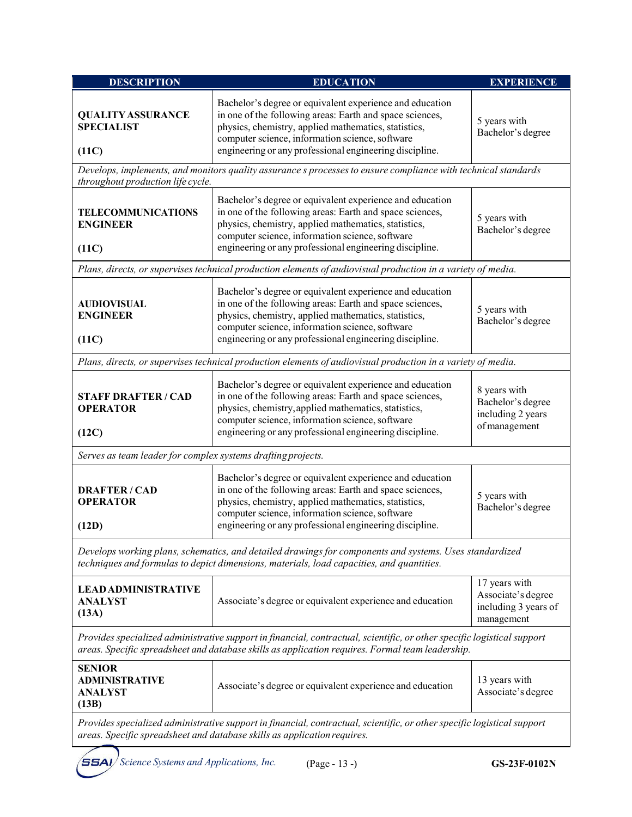| <b>DESCRIPTION</b>                                                                                                                                                                                                          | <b>EDUCATION</b><br><b>EXPERIENCE</b>                                                                                                                                                                                                                                                      |                                                                           |  |  |  |
|-----------------------------------------------------------------------------------------------------------------------------------------------------------------------------------------------------------------------------|--------------------------------------------------------------------------------------------------------------------------------------------------------------------------------------------------------------------------------------------------------------------------------------------|---------------------------------------------------------------------------|--|--|--|
| <b>QUALITY ASSURANCE</b><br><b>SPECIALIST</b><br>(11C)                                                                                                                                                                      | Bachelor's degree or equivalent experience and education<br>in one of the following areas: Earth and space sciences,<br>physics, chemistry, applied mathematics, statistics,<br>computer science, information science, software<br>engineering or any professional engineering discipline. | 5 years with<br>Bachelor's degree                                         |  |  |  |
| throughout production life cycle.                                                                                                                                                                                           | Develops, implements, and monitors quality assurance s processes to ensure compliance with technical standards                                                                                                                                                                             |                                                                           |  |  |  |
| <b>TELECOMMUNICATIONS</b><br><b>ENGINEER</b><br>(11C)                                                                                                                                                                       | Bachelor's degree or equivalent experience and education<br>in one of the following areas: Earth and space sciences,<br>physics, chemistry, applied mathematics, statistics,<br>computer science, information science, software<br>engineering or any professional engineering discipline. | 5 years with<br>Bachelor's degree                                         |  |  |  |
|                                                                                                                                                                                                                             | Plans, directs, or supervises technical production elements of audiovisual production in a variety of media.                                                                                                                                                                               |                                                                           |  |  |  |
| <b>AUDIOVISUAL</b><br><b>ENGINEER</b><br>(11C)                                                                                                                                                                              | Bachelor's degree or equivalent experience and education<br>in one of the following areas: Earth and space sciences,<br>physics, chemistry, applied mathematics, statistics,<br>computer science, information science, software<br>engineering or any professional engineering discipline. | 5 years with<br>Bachelor's degree                                         |  |  |  |
|                                                                                                                                                                                                                             | Plans, directs, or supervises technical production elements of audiovisual production in a variety of media.                                                                                                                                                                               |                                                                           |  |  |  |
| <b>STAFF DRAFTER / CAD</b><br><b>OPERATOR</b><br>(12C)                                                                                                                                                                      | Bachelor's degree or equivalent experience and education<br>in one of the following areas: Earth and space sciences,<br>physics, chemistry, applied mathematics, statistics,<br>computer science, information science, software<br>engineering or any professional engineering discipline. |                                                                           |  |  |  |
| Serves as team leader for complex systems drafting projects.                                                                                                                                                                |                                                                                                                                                                                                                                                                                            |                                                                           |  |  |  |
| <b>DRAFTER/CAD</b><br><b>OPERATOR</b><br>(12D)                                                                                                                                                                              | Bachelor's degree or equivalent experience and education<br>in one of the following areas: Earth and space sciences,<br>physics, chemistry, applied mathematics, statistics,<br>computer science, information science, software<br>engineering or any professional engineering discipline. | 5 years with<br>Bachelor's degree                                         |  |  |  |
|                                                                                                                                                                                                                             | Develops working plans, schematics, and detailed drawings for components and systems. Uses standardized<br>techniques and formulas to depict dimensions, materials, load capacities, and quantities.                                                                                       |                                                                           |  |  |  |
| <b>LEAD ADMINISTRATIVE</b><br>Associate's degree or equivalent experience and education<br><b>ANALYST</b><br>(13A)                                                                                                          |                                                                                                                                                                                                                                                                                            | 17 years with<br>Associate's degree<br>including 3 years of<br>management |  |  |  |
| Provides specialized administrative support in financial, contractual, scientific, or other specific logistical support<br>areas. Specific spreadsheet and database skills as application requires. Formal team leadership. |                                                                                                                                                                                                                                                                                            |                                                                           |  |  |  |
| <b>SENIOR</b><br><b>ADMINISTRATIVE</b><br>Associate's degree or equivalent experience and education<br><b>ANALYST</b><br>(13B)                                                                                              |                                                                                                                                                                                                                                                                                            | 13 years with<br>Associate's degree                                       |  |  |  |
| Provides specialized administrative support in financial, contractual, scientific, or other specific logistical support<br>areas. Specific spreadsheet and database skills as application requires.                         |                                                                                                                                                                                                                                                                                            |                                                                           |  |  |  |
| SSAI<br>Science Systems and Applications, Inc.                                                                                                                                                                              | (Page - 13 -)                                                                                                                                                                                                                                                                              | GS-23F-0102N                                                              |  |  |  |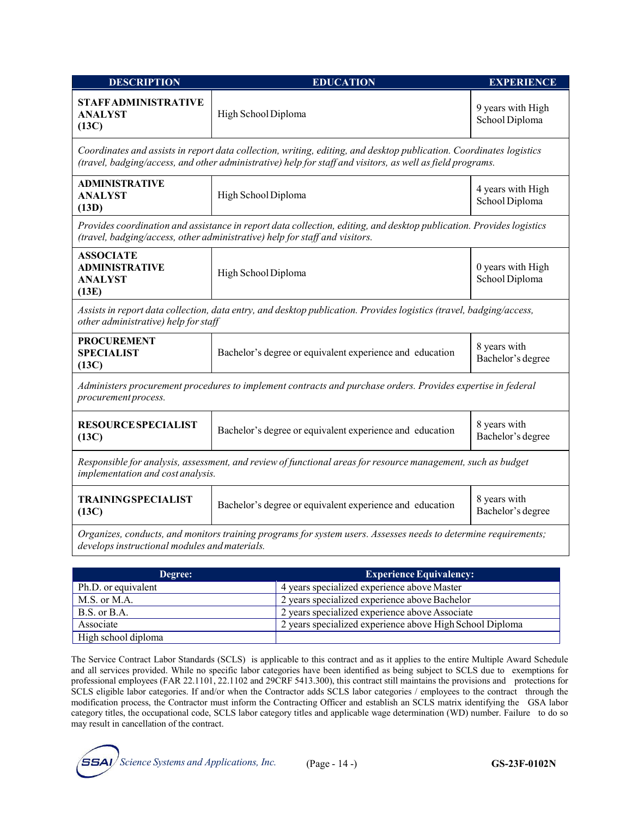| <b>DESCRIPTION</b>                                                                                                                                                                                                                | <b>EDUCATION</b>                                                                                                                                                                                    | <b>EXPERIENCE</b>                   |  |  |
|-----------------------------------------------------------------------------------------------------------------------------------------------------------------------------------------------------------------------------------|-----------------------------------------------------------------------------------------------------------------------------------------------------------------------------------------------------|-------------------------------------|--|--|
| <b>STAFFADMINISTRATIVE</b><br><b>ANALYST</b><br>(13C)                                                                                                                                                                             | High School Diploma                                                                                                                                                                                 | 9 years with High<br>School Diploma |  |  |
| Coordinates and assists in report data collection, writing, editing, and desktop publication. Coordinates logistics<br>(travel, badging/access, and other administrative) help for staff and visitors, as well as field programs. |                                                                                                                                                                                                     |                                     |  |  |
| ADMINISTRATIVE<br><b>ANALYST</b><br>(13D)                                                                                                                                                                                         | High School Diploma                                                                                                                                                                                 | 4 years with High<br>School Diploma |  |  |
|                                                                                                                                                                                                                                   | Provides coordination and assistance in report data collection, editing, and desktop publication. Provides logistics<br>(travel, badging/access, other administrative) help for staff and visitors. |                                     |  |  |
| <b>ASSOCIATE</b><br><b>ADMINISTRATIVE</b><br><b>ANALYST</b><br>(13E)                                                                                                                                                              | High School Diploma                                                                                                                                                                                 | 0 years with High<br>School Diploma |  |  |
| other administrative) help for staff                                                                                                                                                                                              | Assists in report data collection, data entry, and desktop publication. Provides logistics (travel, badging/access,                                                                                 |                                     |  |  |
| <b>PROCUREMENT</b><br><b>SPECIALIST</b><br>(13C)                                                                                                                                                                                  | Bachelor's degree or equivalent experience and education                                                                                                                                            | 8 years with<br>Bachelor's degree   |  |  |
| Administers procurement procedures to implement contracts and purchase orders. Provides expertise in federal<br>procurement process.                                                                                              |                                                                                                                                                                                                     |                                     |  |  |
| <b>RESOURCE SPECIALIST</b><br>Bachelor's degree or equivalent experience and education<br>(13C)                                                                                                                                   |                                                                                                                                                                                                     | 8 years with<br>Bachelor's degree   |  |  |
| Responsible for analysis, assessment, and review of functional areas for resource management, such as budget<br>implementation and cost analysis.                                                                                 |                                                                                                                                                                                                     |                                     |  |  |
| <b>TRAININGSPECIALIST</b><br>(13C)                                                                                                                                                                                                | 8 years with<br>Bachelor's degree or equivalent experience and education<br>Bachelor's degree                                                                                                       |                                     |  |  |
| Organizes, conducts, and monitors training programs for system users. Assesses needs to determine requirements;<br>develops instructional modules and materials.                                                                  |                                                                                                                                                                                                     |                                     |  |  |
| Degree:                                                                                                                                                                                                                           | <b>Experience Equivalency:</b>                                                                                                                                                                      |                                     |  |  |

| Degree:             | <b>Experience Equivalency:</b>                           |
|---------------------|----------------------------------------------------------|
| Ph.D. or equivalent | 4 years specialized experience above Master              |
| M.S. or M.A.        | 2 years specialized experience above Bachelor            |
| B.S. or B.A.        | 2 years specialized experience above Associate           |
| Associate           | 2 years specialized experience above High School Diploma |
| High school diploma |                                                          |

The Service Contract Labor Standards (SCLS) is applicable to this contract and as it applies to the entire Multiple Award Schedule and all services provided. While no specific labor categories have been identified as being subject to SCLS due to exemptions for professional employees (FAR 22.1101, 22.1102 and 29CRF 5413.300), this contract still maintains the provisions and protections for SCLS eligible labor categories. If and/or when the Contractor adds SCLS labor categories / employees to the contract through the modification process, the Contractor must inform the Contracting Officer and establish an SCLS matrix identifying the GSA labor category titles, the occupational code, SCLS labor category titles and applicable wage determination (WD) number. Failure to do so may result in cancellation of the contract.

*Science Systems and Applications, Inc.* (Page - 14 -) **GS-23F-0102N**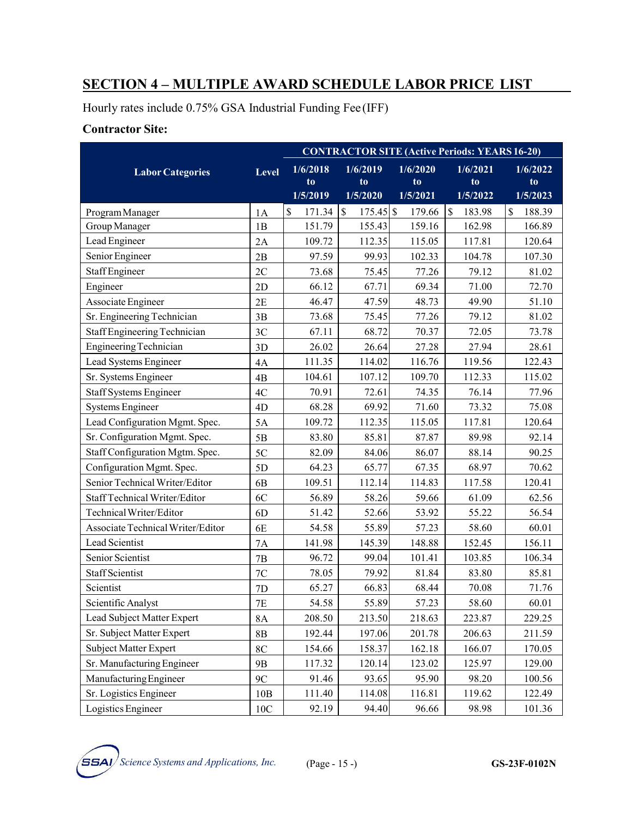# **SECTION 4 – MULTIPLE AWARD SCHEDULE LABOR PRICE LIST**

Hourly rates include 0.75% GSA Industrial Funding Fee (IFF)

### **Contractor Site:**

|                                   |                | <b>CONTRACTOR SITE (Active Periods: YEARS 16-20)</b> |                            |                            |                            |                                        |
|-----------------------------------|----------------|------------------------------------------------------|----------------------------|----------------------------|----------------------------|----------------------------------------|
| <b>Labor Categories</b>           | <b>Level</b>   | 1/6/2018<br>to<br>1/5/2019                           | 1/6/2019<br>to<br>1/5/2020 | 1/6/2020<br>to<br>1/5/2021 | 1/6/2021<br>to<br>1/5/2022 | 1/6/2022<br>t <sub>o</sub><br>1/5/2023 |
| Program Manager                   | 1A             | \$<br>171.34                                         | $\$$<br>$175.45$ \$        | 179.66                     | \$<br>183.98               | \$<br>188.39                           |
| Group Manager                     | 1B             | 151.79                                               | 155.43                     | 159.16                     | 162.98                     | 166.89                                 |
| Lead Engineer                     | 2A             | 109.72                                               | 112.35                     | 115.05                     | 117.81                     | 120.64                                 |
| Senior Engineer                   | 2B             | 97.59                                                | 99.93                      | 102.33                     | 104.78                     | 107.30                                 |
| <b>Staff Engineer</b>             | 2C             | 73.68                                                | 75.45                      | 77.26                      | 79.12                      | 81.02                                  |
| Engineer                          | 2D             | 66.12                                                | 67.71                      | 69.34                      | 71.00                      | 72.70                                  |
| Associate Engineer                | 2E             | 46.47                                                | 47.59                      | 48.73                      | 49.90                      | 51.10                                  |
| Sr. Engineering Technician        | 3B             | 73.68                                                | 75.45                      | 77.26                      | 79.12                      | 81.02                                  |
| Staff Engineering Technician      | 3C             | 67.11                                                | 68.72                      | 70.37                      | 72.05                      | 73.78                                  |
| <b>Engineering Technician</b>     | 3D             | 26.02                                                | 26.64                      | 27.28                      | 27.94                      | 28.61                                  |
| Lead Systems Engineer             | 4A             | 111.35                                               | 114.02                     | 116.76                     | 119.56                     | 122.43                                 |
| Sr. Systems Engineer              | 4B             | 104.61                                               | 107.12                     | 109.70                     | 112.33                     | 115.02                                 |
| <b>Staff Systems Engineer</b>     | 4C             | 70.91                                                | 72.61                      | 74.35                      | 76.14                      | 77.96                                  |
| <b>Systems Engineer</b>           | 4D             | 68.28                                                | 69.92                      | 71.60                      | 73.32                      | 75.08                                  |
| Lead Configuration Mgmt. Spec.    | 5A             | 109.72                                               | 112.35                     | 115.05                     | 117.81                     | 120.64                                 |
| Sr. Configuration Mgmt. Spec.     | 5B             | 83.80                                                | 85.81                      | 87.87                      | 89.98                      | 92.14                                  |
| Staff Configuration Mgtm. Spec.   | 5C             | 82.09                                                | 84.06                      | 86.07                      | 88.14                      | 90.25                                  |
| Configuration Mgmt. Spec.         | 5D             | 64.23                                                | 65.77                      | 67.35                      | 68.97                      | 70.62                                  |
| Senior Technical Writer/Editor    | 6 <sub>B</sub> | 109.51                                               | 112.14                     | 114.83                     | 117.58                     | 120.41                                 |
| Staff Technical Writer/Editor     | 6C             | 56.89                                                | 58.26                      | 59.66                      | 61.09                      | 62.56                                  |
| Technical Writer/Editor           | 6 <sub>D</sub> | 51.42                                                | 52.66                      | 53.92                      | 55.22                      | 56.54                                  |
| Associate Technical Writer/Editor | 6E             | 54.58                                                | 55.89                      | 57.23                      | 58.60                      | 60.01                                  |
| Lead Scientist                    | <b>7A</b>      | 141.98                                               | 145.39                     | 148.88                     | 152.45                     | 156.11                                 |
| Senior Scientist                  | 7B             | 96.72                                                | 99.04                      | 101.41                     | 103.85                     | 106.34                                 |
| Staff Scientist                   | 7C             | 78.05                                                | 79.92                      | 81.84                      | 83.80                      | 85.81                                  |
| Scientist                         | 7D             | 65.27                                                | 66.83                      | 68.44                      | 70.08                      | 71.76                                  |
| Scientific Analyst                | 7E             | 54.58                                                | 55.89                      | 57.23                      | 58.60                      | 60.01                                  |
| Lead Subject Matter Expert        | <b>8A</b>      | 208.50                                               | 213.50                     | 218.63                     | 223.87                     | 229.25                                 |
| Sr. Subject Matter Expert         | 8B             | 192.44                                               | 197.06                     | 201.78                     | 206.63                     | 211.59                                 |
| Subject Matter Expert             | 8C             | 154.66                                               | 158.37                     | 162.18                     | 166.07                     | 170.05                                 |
| Sr. Manufacturing Engineer        | 9 <sub>B</sub> | 117.32                                               | 120.14                     | 123.02                     | 125.97                     | 129.00                                 |
| Manufacturing Engineer            | 9C             | 91.46                                                | 93.65                      | 95.90                      | 98.20                      | 100.56                                 |
| Sr. Logistics Engineer            | 10B            | 111.40                                               | 114.08                     | 116.81                     | 119.62                     | 122.49                                 |
| Logistics Engineer                | 10C            | 92.19                                                | 94.40                      | 96.66                      | 98.98                      | 101.36                                 |

*Science Systems and Applications, Inc.* (Page - 15 -) **GS-23F-0102N**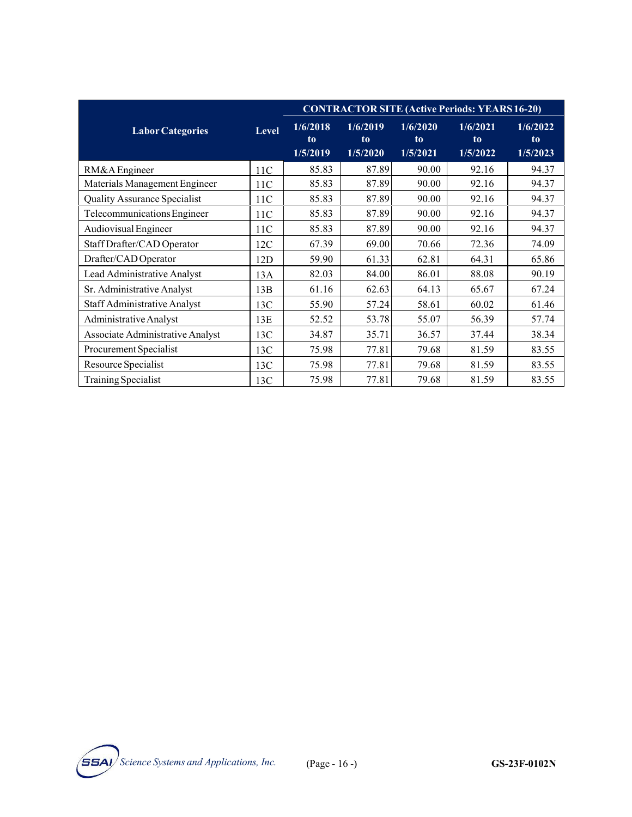|                                     |              | <b>CONTRACTOR SITE (Active Periods: YEARS 16-20)</b> |                            |                            |                            |                            |
|-------------------------------------|--------------|------------------------------------------------------|----------------------------|----------------------------|----------------------------|----------------------------|
| <b>Labor Categories</b>             | <b>Level</b> | 1/6/2018<br>to<br>1/5/2019                           | 1/6/2019<br>to<br>1/5/2020 | 1/6/2020<br>to<br>1/5/2021 | 1/6/2021<br>to<br>1/5/2022 | 1/6/2022<br>to<br>1/5/2023 |
| RM&A Engineer                       | 11C          | 85.83                                                | 87.89                      | 90.00                      | 92.16                      | 94.37                      |
| Materials Management Engineer       | 11C          | 85.83                                                | 87.89                      | 90.00                      | 92.16                      | 94.37                      |
| <b>Quality Assurance Specialist</b> | 11C          | 85.83                                                | 87.89                      | 90.00                      | 92.16                      | 94.37                      |
| Telecommunications Engineer         | 11C          | 85.83                                                | 87.89                      | 90.00                      | 92.16                      | 94.37                      |
| Audiovisual Engineer                | 11C          | 85.83                                                | 87.89                      | 90.00                      | 92.16                      | 94.37                      |
| Staff Drafter/CAD Operator          | 12C          | 67.39                                                | 69.00                      | 70.66                      | 72.36                      | 74.09                      |
| Drafter/CAD Operator                | 12D          | 59.90                                                | 61.33                      | 62.81                      | 64.31                      | 65.86                      |
| Lead Administrative Analyst         | 13A          | 82.03                                                | 84.00                      | 86.01                      | 88.08                      | 90.19                      |
| Sr. Administrative Analyst          | 13B          | 61.16                                                | 62.63                      | 64.13                      | 65.67                      | 67.24                      |
| Staff Administrative Analyst        | 13C          | 55.90                                                | 57.24                      | 58.61                      | 60.02                      | 61.46                      |
| Administrative Analyst              | 13E          | 52.52                                                | 53.78                      | 55.07                      | 56.39                      | 57.74                      |
| Associate Administrative Analyst    | 13C          | 34.87                                                | 35.71                      | 36.57                      | 37.44                      | 38.34                      |
| Procurement Specialist              | 13C          | 75.98                                                | 77.81                      | 79.68                      | 81.59                      | 83.55                      |
| Resource Specialist                 | 13C          | 75.98                                                | 77.81                      | 79.68                      | 81.59                      | 83.55                      |
| <b>Training Specialist</b>          | 13C          | 75.98                                                | 77.81                      | 79.68                      | 81.59                      | 83.55                      |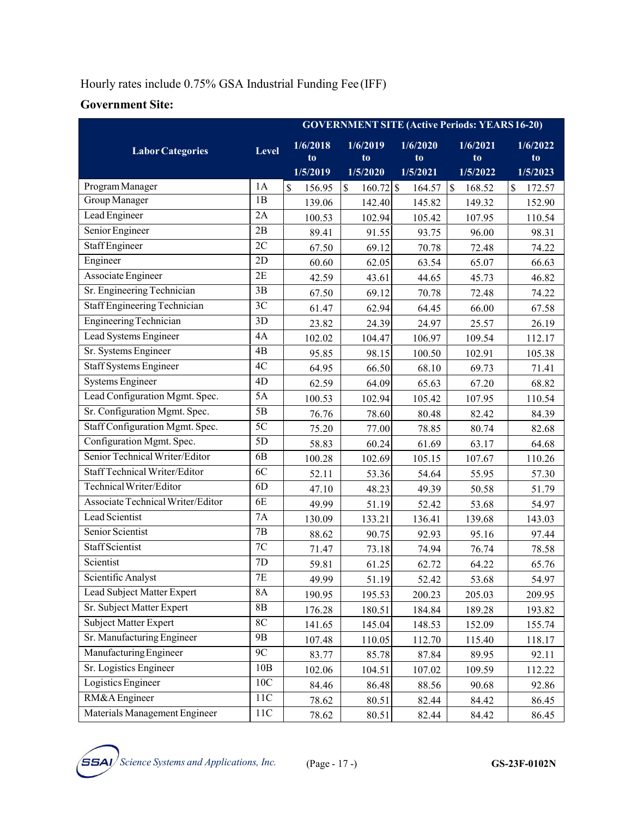### Hourly rates include 0.75% GSA Industrial Funding Fee (IFF)

### **Government Site:**

|                                   |                 | <b>GOVERNMENT SITE (Active Periods: YEARS 16-20)</b> |                                   |                            |                            |                            |
|-----------------------------------|-----------------|------------------------------------------------------|-----------------------------------|----------------------------|----------------------------|----------------------------|
| <b>Labor Categories</b>           | <b>Level</b>    | 1/6/2018<br>to<br>1/5/2019                           | 1/6/2019<br>to<br>1/5/2020        | 1/6/2020<br>to<br>1/5/2021 | 1/6/2021<br>to<br>1/5/2022 | 1/6/2022<br>to<br>1/5/2023 |
| Program Manager                   | 1A              | \$<br>156.95                                         | $\mathbf{\hat{S}}$<br>$160.72$ \$ | 164.57                     | $\mathcal{S}$<br>168.52    | \$<br>172.57               |
| Group Manager                     | 1B              | 139.06                                               | 142.40                            | 145.82                     | 149.32                     | 152.90                     |
| Lead Engineer                     | 2A              | 100.53                                               | 102.94                            | 105.42                     | 107.95                     | 110.54                     |
| Senior Engineer                   | 2B              | 89.41                                                | 91.55                             | 93.75                      | 96.00                      | 98.31                      |
| <b>Staff Engineer</b>             | $\overline{2C}$ | 67.50                                                | 69.12                             | 70.78                      | 72.48                      | 74.22                      |
| Engineer                          | 2D              | 60.60                                                | 62.05                             | 63.54                      | 65.07                      | 66.63                      |
| <b>Associate Engineer</b>         | 2E              | 42.59                                                | 43.61                             | 44.65                      | 45.73                      | 46.82                      |
| Sr. Engineering Technician        | 3B              | 67.50                                                | 69.12                             | 70.78                      | 72.48                      | 74.22                      |
| Staff Engineering Technician      | 3C              | 61.47                                                | 62.94                             | 64.45                      | 66.00                      | 67.58                      |
| <b>Engineering Technician</b>     | 3D              | 23.82                                                | 24.39                             | 24.97                      | 25.57                      | 26.19                      |
| Lead Systems Engineer             | 4A              | 102.02                                               | 104.47                            | 106.97                     | 109.54                     | 112.17                     |
| Sr. Systems Engineer              | 4B              | 95.85                                                | 98.15                             | 100.50                     | 102.91                     | 105.38                     |
| <b>Staff Systems Engineer</b>     | 4C              | 64.95                                                | 66.50                             | 68.10                      | 69.73                      | 71.41                      |
| <b>Systems Engineer</b>           | 4D              | 62.59                                                | 64.09                             | 65.63                      | 67.20                      | 68.82                      |
| Lead Configuration Mgmt. Spec.    | 5A              | 100.53                                               | 102.94                            | 105.42                     | 107.95                     | 110.54                     |
| Sr. Configuration Mgmt. Spec.     | 5B              | 76.76                                                | 78.60                             | 80.48                      | 82.42                      | 84.39                      |
| Staff Configuration Mgmt. Spec.   | 5C              | 75.20                                                | 77.00                             | 78.85                      | 80.74                      | 82.68                      |
| Configuration Mgmt. Spec.         | 5D              | 58.83                                                | 60.24                             | 61.69                      | 63.17                      | 64.68                      |
| Senior Technical Writer/Editor    | 6 <sub>B</sub>  | 100.28                                               | 102.69                            | 105.15                     | 107.67                     | 110.26                     |
| Staff Technical Writer/Editor     | 6C              | 52.11                                                | 53.36                             | 54.64                      | 55.95                      | 57.30                      |
| Technical Writer/Editor           | 6 <sub>D</sub>  | 47.10                                                | 48.23                             | 49.39                      | 50.58                      | 51.79                      |
| Associate Technical Writer/Editor | 6E              | 49.99                                                | 51.19                             | 52.42                      | 53.68                      | 54.97                      |
| Lead Scientist                    | <b>7A</b>       | 130.09                                               | 133.21                            | 136.41                     | 139.68                     | 143.03                     |
| Senior Scientist                  | 7B              | 88.62                                                | 90.75                             | 92.93                      | 95.16                      | 97.44                      |
| <b>Staff Scientist</b>            | 7C              | 71.47                                                | 73.18                             | 74.94                      | 76.74                      | 78.58                      |
| Scientist                         | 7D              | 59.81                                                | 61.25                             | 62.72                      | 64.22                      | 65.76                      |
| Scientific Analyst                | 7E              | 49.99                                                | 51.19                             | 52.42                      | 53.68                      | 54.97                      |
| Lead Subject Matter Expert        | <b>8A</b>       | 190.95                                               | 195.53                            | 200.23                     | 205.03                     | 209.95                     |
| Sr. Subject Matter Expert         | 8B              | 176.28                                               | 180.51                            | 184.84                     | 189.28                     | 193.82                     |
| Subject Matter Expert             | $8\mathrm{C}$   | 141.65                                               | 145.04                            | 148.53                     | 152.09                     | 155.74                     |
| Sr. Manufacturing Engineer        | 9B              | 107.48                                               | 110.05                            | 112.70                     | 115.40                     | 118.17                     |
| Manufacturing Engineer            | 9C              | 83.77                                                | 85.78                             | 87.84                      | 89.95                      | 92.11                      |
| Sr. Logistics Engineer            | 10B             | 102.06                                               | 104.51                            | 107.02                     | 109.59                     | 112.22                     |
| Logistics Engineer                | 10C             | 84.46                                                | 86.48                             | 88.56                      | 90.68                      | 92.86                      |
| RM&A Engineer                     | 11C             | 78.62                                                | 80.51                             | 82.44                      | 84.42                      | 86.45                      |
| Materials Management Engineer     | 11C             | 78.62                                                | 80.51                             | 82.44                      | 84.42                      | 86.45                      |

 $\overline{SSA}$  *Science Systems and Applications, Inc.* (Page - 17 -)  $S-S-23F-0102N$